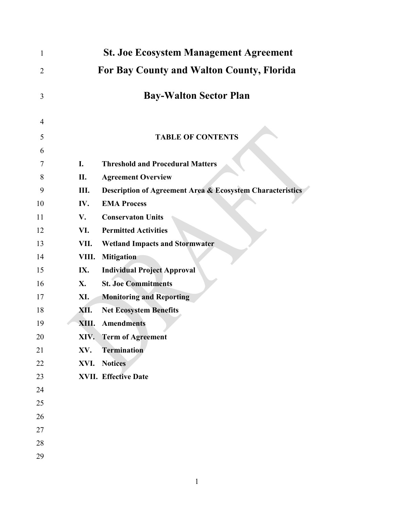| 1              |                                           | <b>St. Joe Ecosystem Management Agreement</b>                        |  |
|----------------|-------------------------------------------|----------------------------------------------------------------------|--|
| $\overline{2}$ | For Bay County and Walton County, Florida |                                                                      |  |
| 3              |                                           | <b>Bay-Walton Sector Plan</b>                                        |  |
| 4              |                                           |                                                                      |  |
| 5              |                                           | <b>TABLE OF CONTENTS</b>                                             |  |
| 6              |                                           |                                                                      |  |
| 7              | I.                                        | <b>Threshold and Procedural Matters</b>                              |  |
| 8              | П.                                        | <b>Agreement Overview</b>                                            |  |
| 9              | Ш.                                        | <b>Description of Agreement Area &amp; Ecosystem Characteristics</b> |  |
| 10             | IV.                                       | <b>EMA Process</b>                                                   |  |
| 11             | V.                                        | <b>Conservaton Units</b>                                             |  |
| 12             | VI.                                       | <b>Permitted Activities</b>                                          |  |
| 13             | VII.                                      | <b>Wetland Impacts and Stormwater</b>                                |  |
| 14             | VIII.                                     | <b>Mitigation</b>                                                    |  |
| 15             | IX.                                       | <b>Individual Project Approval</b>                                   |  |
| 16             | X.                                        | <b>St. Joe Commitments</b>                                           |  |
| 17             | XI.                                       | <b>Monitoring and Reporting</b>                                      |  |
| 18             | XII.                                      | <b>Net Ecosystem Benefits</b>                                        |  |
| 19             | XIII.                                     | <b>Amendments</b>                                                    |  |
| 20             |                                           | XIV. Term of Agreement                                               |  |
| 21             | XV.                                       | <b>Termination</b>                                                   |  |
| 22             | XVI.                                      | <b>Notices</b>                                                       |  |
| 23             |                                           | <b>XVII. Effective Date</b>                                          |  |
| 24             |                                           |                                                                      |  |
| 25             |                                           |                                                                      |  |
| 26             |                                           |                                                                      |  |
| 27             |                                           |                                                                      |  |
| 28             |                                           |                                                                      |  |
| 29             |                                           |                                                                      |  |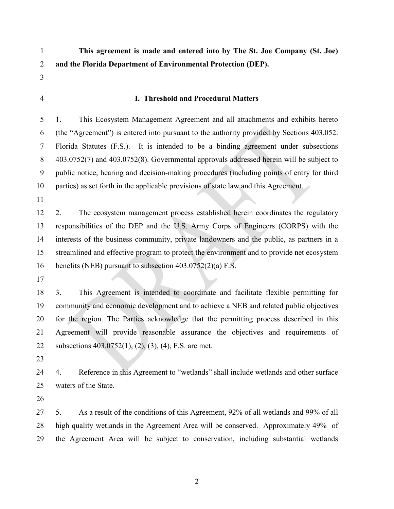**This agreement is made and entered into by The St. Joe Company (St. Joe)** 

**and the Florida Department of Environmental Protection (DEP).**

- 
- 

## **I. Threshold and Procedural Matters**

 1. This Ecosystem Management Agreement and all attachments and exhibits hereto (the "Agreement") is entered into pursuant to the authority provided by Sections 403.052. Florida Statutes (F.S.). It is intended to be a binding agreement under subsections 403.0752(7) and 403.0752(8). Governmental approvals addressed herein will be subject to public notice, hearing and decision-making procedures (including points of entry for third 10 parties) as set forth in the applicable provisions of state law and this Agreement.

 2. The ecosystem management process established herein coordinates the regulatory responsibilities of the DEP and the U.S. Army Corps of Engineers (CORPS) with the interests of the business community, private landowners and the public, as partners in a streamlined and effective program to protect the environment and to provide net ecosystem benefits (NEB) pursuant to subsection 403.0752(2)(a) F.S.

 3. This Agreement is intended to coordinate and facilitate flexible permitting for community and economic development and to achieve a NEB and related public objectives for the region. The Parties acknowledge that the permitting process described in this Agreement will provide reasonable assurance the objectives and requirements of subsections 403.0752(1), (2), (3), (4), F.S. are met.

 4. Reference in this Agreement to "wetlands" shall include wetlands and other surface waters of the State.

 5. As a result of the conditions of this Agreement, 92% of all wetlands and 99% of all high quality wetlands in the Agreement Area will be conserved. Approximately 49% of the Agreement Area will be subject to conservation, including substantial wetlands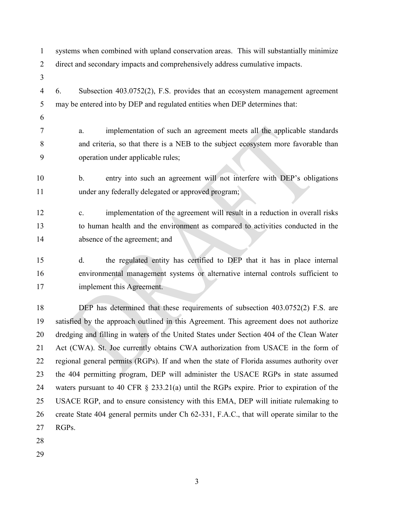systems when combined with upland conservation areas. This will substantially minimize direct and secondary impacts and comprehensively address cumulative impacts. 6. Subsection 403.0752(2), F.S. provides that an ecosystem management agreement may be entered into by DEP and regulated entities when DEP determines that: a. implementation of such an agreement meets all the applicable standards and criteria, so that there is a NEB to the subject ecosystem more favorable than operation under applicable rules; b. entry into such an agreement will not interfere with DEP's obligations under any federally delegated or approved program; c. implementation of the agreement will result in a reduction in overall risks to human health and the environment as compared to activities conducted in the absence of the agreement; and d. the regulated entity has certified to DEP that it has in place internal environmental management systems or alternative internal controls sufficient to implement this Agreement. DEP has determined that these requirements of subsection 403.0752(2) F.S. are

 satisfied by the approach outlined in this Agreement. This agreement does not authorize dredging and filling in waters of the United States under Section 404 of the Clean Water Act (CWA). St. Joe currently obtains CWA authorization from USACE in the form of regional general permits (RGPs). If and when the state of Florida assumes authority over the 404 permitting program, DEP will administer the USACE RGPs in state assumed waters pursuant to 40 CFR § 233.21(a) until the RGPs expire. Prior to expiration of the USACE RGP, and to ensure consistency with this EMA, DEP will initiate rulemaking to create State 404 general permits under Ch 62-331, F.A.C., that will operate similar to the RGPs.

- 
-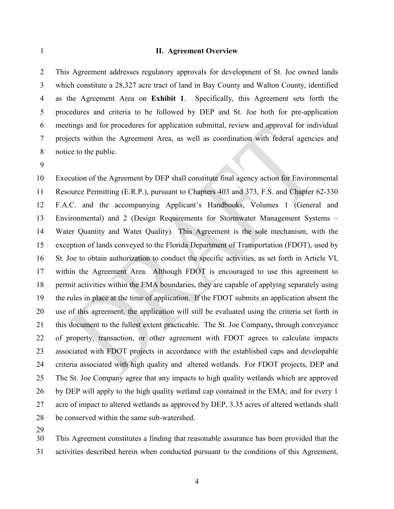#### **II. Agreement Overview**

 This Agreement addresses regulatory approvals for development of St. Joe owned lands which constitute a 28,327 acre tract of land in Bay County and Walton County, identified as the Agreement Area on **Exhibit 1**. Specifically, this Agreement sets forth the procedures and criteria to be followed by DEP and St. Joe both for pre-application meetings and for procedures for application submittal, review and approval for individual projects within the Agreement Area, as well as coordination with federal agencies and notice to the public.

 Execution of the Agreement by DEP shall constitute final agency action for Environmental Resource Permitting (E.R.P.), pursuant to Chapters 403 and 373, F.S. and Chapter 62-330 F.A.C. and the accompanying Applicant's Handbooks, Volumes 1 (General and Environmental) and 2 (Design Requirements for Stormwater Management Systems – Water Quantity and Water Quality). This Agreement is the sole mechanism, with the exception of lands conveyed to the Florida Department of Transportation (FDOT), used by St. Joe to obtain authorization to conduct the specific activities, as set forth in Article VI, within the Agreement Area. Although FDOT is encouraged to use this agreement to permit activities within the EMA boundaries, they are capable of applying separately using the rules in place at the time of application. If the FDOT submits an application absent the use of this agreement, the application will still be evaluated using the criteria set forth in this document to the fullest extent practicable. The St. Joe Company**,** through conveyance of property, transaction, or other agreement with FDOT agrees to calculate impacts associated with FDOT projects in accordance with the established caps and developable criteria associated with high quality and altered wetlands. For FDOT projects, DEP and The St. Joe Company agree that any impacts to high quality wetlands which are approved by DEP will apply to the high quality wetland cap contained in the EMA; and for every 1 acre of impact to altered wetlands as approved by DEP, 3.35 acres of altered wetlands shall be conserved within the same sub-watershed.

 This Agreement constitutes a finding that reasonable assurance has been provided that the activities described herein when conducted pursuant to the conditions of this Agreement,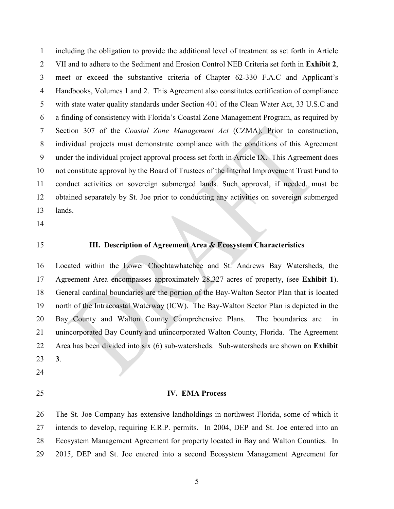including the obligation to provide the additional level of treatment as set forth in Article VII and to adhere to the Sediment and Erosion Control NEB Criteria set forth in **Exhibit 2**, meet or exceed the substantive criteria of Chapter 62-330 F.A.C and Applicant's Handbooks, Volumes 1 and 2. This Agreement also constitutes certification of compliance with state water quality standards under Section 401 of the Clean Water Act, 33 U.S.C and a finding of consistency with Florida's Coastal Zone Management Program, as required by Section 307 of the *Coastal Zone Management Act* (CZMA). Prior to construction, individual projects must demonstrate compliance with the conditions of this Agreement under the individual project approval process set forth in Article IX. This Agreement does not constitute approval by the Board of Trustees of the Internal Improvement Trust Fund to conduct activities on sovereign submerged lands. Such approval, if needed, must be obtained separately by St. Joe prior to conducting any activities on sovereign submerged lands.

- 
- 

# **III. Description of Agreement Area & Ecosystem Characteristics**

 Located within the Lower Chochtawhatchee and St. Andrews Bay Watersheds, the Agreement Area encompasses approximately 28,327 acres of property, (see **Exhibit 1**). General cardinal boundaries are the portion of the Bay-Walton Sector Plan that is located north of the Intracoastal Waterway (ICW). The Bay-Walton Sector Plan is depicted in the Bay County and Walton County Comprehensive Plans. The boundaries are in unincorporated Bay County and unincorporated Walton County, Florida. The Agreement Area has been divided into six (6) sub-watersheds. Sub-watersheds are shown on **Exhibit 3**.

- 
- 

#### **IV. EMA Process**

 The St. Joe Company has extensive landholdings in northwest Florida, some of which it intends to develop, requiring E.R.P. permits. In 2004, DEP and St. Joe entered into an Ecosystem Management Agreement for property located in Bay and Walton Counties. In 2015, DEP and St. Joe entered into a second Ecosystem Management Agreement for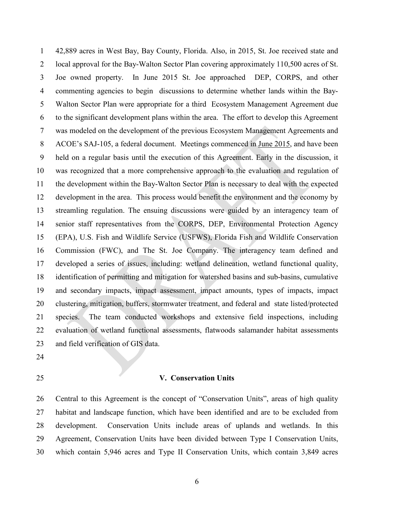42,889 acres in West Bay, Bay County, Florida. Also, in 2015, St. Joe received state and local approval for the Bay-Walton Sector Plan covering approximately 110,500 acres of St. Joe owned property. In June 2015 St. Joe approached DEP, CORPS, and other commenting agencies to begin discussions to determine whether lands within the Bay- Walton Sector Plan were appropriate for a third Ecosystem Management Agreement due to the significant development plans within the area. The effort to develop this Agreement was modeled on the development of the previous Ecosystem Management Agreements and ACOE's SAJ-105, a federal document. Meetings commenced in June 2015, and have been held on a regular basis until the execution of this Agreement. Early in the discussion, it was recognized that a more comprehensive approach to the evaluation and regulation of the development within the Bay-Walton Sector Plan is necessary to deal with the expected development in the area. This process would benefit the environment and the economy by streamling regulation. The ensuing discussions were guided by an interagency team of senior staff representatives from the CORPS, DEP, Environmental Protection Agency (EPA), U.S. Fish and Wildlife Service (USFWS), Florida Fish and Wildlife Conservation Commission (FWC), and The St. Joe Company. The interagency team defined and developed a series of issues, including: wetland delineation, wetland functional quality, identification of permitting and mitigation for watershed basins and sub-basins, cumulative and secondary impacts, impact assessment, impact amounts, types of impacts, impact clustering, mitigation, buffers, stormwater treatment, and federal and state listed/protected species. The team conducted workshops and extensive field inspections, including evaluation of wetland functional assessments, flatwoods salamander habitat assessments and field verification of GIS data.

- 
- 

#### **V. Conservation Units**

 Central to this Agreement is the concept of "Conservation Units", areas of high quality habitat and landscape function, which have been identified and are to be excluded from development. Conservation Units include areas of uplands and wetlands. In this Agreement, Conservation Units have been divided between Type I Conservation Units, which contain 5,946 acres and Type II Conservation Units, which contain 3,849 acres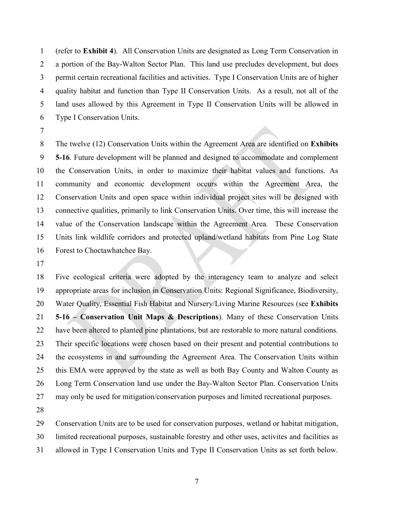(refer to **Exhibit 4**). All Conservation Units are designated as Long Term Conservation in a portion of the Bay-Walton Sector Plan. This land use precludes development, but does permit certain recreational facilities and activities. Type I Conservation Units are of higher quality habitat and function than Type II Conservation Units. As a result, not all of the land uses allowed by this Agreement in Type II Conservation Units will be allowed in Type I Conservation Units.

 The twelve (12) Conservation Units within the Agreement Area are identified on **Exhibits 5-16**. Future development will be planned and designed to accommodate and complement the Conservation Units, in order to maximize their habitat values and functions. As community and economic development occurs within the Agreement Area, the Conservation Units and open space within individual project sites will be designed with connective qualities, primarily to link Conservation Units. Over time, this will increase the value of the Conservation landscape within the Agreement Area. These Conservation Units link wildlife corridors and protected upland/wetland habitats from Pine Log State Forest to Choctawhatchee Bay.

 Five ecological criteria were adopted by the interagency team to analyze and select appropriate areas for inclusion in Conservation Units: Regional Significance, Biodiversity, Water Quality, Essential Fish Habitat and Nursery/Living Marine Resources (see **Exhibits 5-16 – Conservation Unit Maps & Descriptions**). Many of these Conservation Units have been altered to planted pine plantations, but are restorable to more natural conditions. Their specific locations were chosen based on their present and potential contributions to the ecosystems in and surrounding the Agreement Area. The Conservation Units within this EMA were approved by the state as well as both Bay County and Walton County as Long Term Conservation land use under the Bay-Walton Sector Plan. Conservation Units may only be used for mitigation/conservation purposes and limited recreational purposes.

Conservation Units are to be used for conservation purposes, wetland or habitat mitigation,

limited recreational purposes, sustainable forestry and other uses, activites and facilities as

allowed in Type I Conservation Units and Type II Conservation Units as set forth below.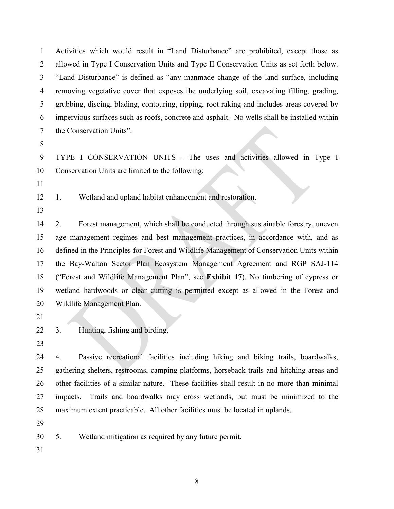Activities which would result in "Land Disturbance" are prohibited, except those as allowed in Type I Conservation Units and Type II Conservation Units as set forth below. "Land Disturbance" is defined as "any manmade change of the land surface, including removing vegetative cover that exposes the underlying soil, excavating filling, grading, grubbing, discing, blading, contouring, ripping, root raking and includes areas covered by impervious surfaces such as roofs, concrete and asphalt. No wells shall be installed within the Conservation Units".

 TYPE I CONSERVATION UNITS - The uses and activities allowed in Type I Conservation Units are limited to the following:

1. Wetland and upland habitat enhancement and restoration.

 2. Forest management, which shall be conducted through sustainable forestry, uneven age management regimes and best management practices, in accordance with, and as defined in the Principles for Forest and Wildlife Management of Conservation Units within the Bay-Walton Sector Plan Ecosystem Management Agreement and RGP SAJ-114 ("Forest and Wildlife Management Plan", see **Exhibit 17**). No timbering of cypress or wetland hardwoods or clear cutting is permitted except as allowed in the Forest and Wildlife Management Plan.

3. Hunting, fishing and birding.

 4. Passive recreational facilities including hiking and biking trails, boardwalks, gathering shelters, restrooms, camping platforms, horseback trails and hitching areas and other facilities of a similar nature. These facilities shall result in no more than minimal impacts. Trails and boardwalks may cross wetlands, but must be minimized to the maximum extent practicable. All other facilities must be located in uplands.

5. Wetland mitigation as required by any future permit.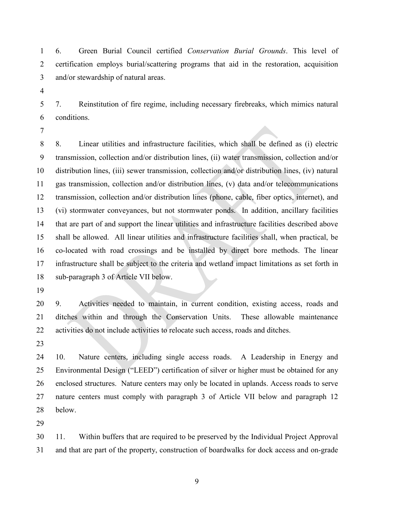6. Green Burial Council certified *Conservation Burial Grounds*. This level of certification employs burial/scattering programs that aid in the restoration, acquisition and/or stewardship of natural areas.

 7. Reinstitution of fire regime, including necessary firebreaks, which mimics natural conditions.

 8. Linear utilities and infrastructure facilities, which shall be defined as (i) electric transmission, collection and/or distribution lines, (ii) water transmission, collection and/or distribution lines, (iii) sewer transmission, collection and/or distribution lines, (iv) natural gas transmission, collection and/or distribution lines, (v) data and/or telecommunications transmission, collection and/or distribution lines (phone, cable, fiber optics, internet), and (vi) stormwater conveyances, but not stormwater ponds. In addition, ancillary facilities that are part of and support the linear utilities and infrastructure facilities described above shall be allowed. All linear utilities and infrastructure facilities shall, when practical, be co-located with road crossings and be installed by direct bore methods. The linear infrastructure shall be subject to the criteria and wetland impact limitations as set forth in sub-paragraph 3 of Article VII below.

 9. Activities needed to maintain, in current condition, existing access, roads and ditches within and through the Conservation Units. These allowable maintenance activities do not include activities to relocate such access, roads and ditches.

 10. Nature centers, including single access roads. A Leadership in Energy and Environmental Design ("LEED") certification of silver or higher must be obtained for any enclosed structures. Nature centers may only be located in uplands. Access roads to serve nature centers must comply with paragraph 3 of Article VII below and paragraph 12 below.

 11. Within buffers that are required to be preserved by the Individual Project Approval and that are part of the property, construction of boardwalks for dock access and on-grade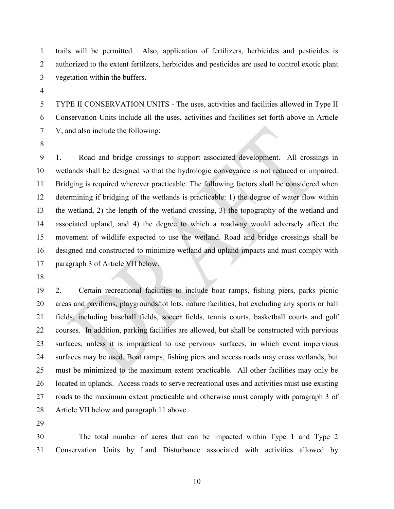trails will be permitted. Also, application of fertilizers, herbicides and pesticides is authorized to the extent fertilzers, herbicides and pesticides are used to control exotic plant vegetation within the buffers.

 TYPE II CONSERVATION UNITS - The uses, activities and facilities allowed in Type II Conservation Units include all the uses, activities and facilities set forth above in Article V, and also include the following:

 1. Road and bridge crossings to support associated development. All crossings in wetlands shall be designed so that the hydrologic conveyance is not reduced or impaired. Bridging is required wherever practicable. The following factors shall be considered when determining if bridging of the wetlands is practicable: 1) the degree of water flow within the wetland, 2) the length of the wetland crossing, 3) the topography of the wetland and associated upland, and 4) the degree to which a roadway would adversely affect the movement of wildlife expected to use the wetland. Road and bridge crossings shall be designed and constructed to minimize wetland and upland impacts and must comply with paragraph 3 of Article VII below.

 2. Certain recreational facilities to include boat ramps, fishing piers, parks picnic areas and pavilions, playgrounds/tot lots, nature facilities, but excluding any sports or ball fields, including baseball fields, soccer fields, tennis courts, basketball courts and golf courses. In addition, parking facilities are allowed, but shall be constructed with pervious surfaces, unless it is impractical to use pervious surfaces, in which event impervious surfaces may be used. Boat ramps, fishing piers and access roads may cross wetlands, but must be minimized to the maximum extent practicable. All other facilities may only be located in uplands. Access roads to serve recreational uses and activities must use existing roads to the maximum extent practicable and otherwise must comply with paragraph 3 of Article VII below and paragraph 11 above.

 The total number of acres that can be impacted within Type 1 and Type 2 Conservation Units by Land Disturbance associated with activities allowed by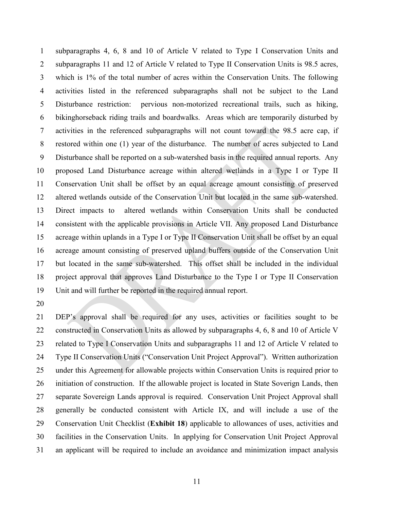subparagraphs 4, 6, 8 and 10 of Article V related to Type I Conservation Units and subparagraphs 11 and 12 of Article V related to Type II Conservation Units is 98.5 acres, which is 1% of the total number of acres within the Conservation Units. The following activities listed in the referenced subparagraphs shall not be subject to the Land Disturbance restriction: pervious non-motorized recreational trails, such as hiking, bikinghorseback riding trails and boardwalks. Areas which are temporarily disturbed by activities in the referenced subparagraphs will not count toward the 98.5 acre cap, if restored within one (1) year of the disturbance. The number of acres subjected to Land Disturbance shall be reported on a sub-watershed basis in the required annual reports. Any proposed Land Disturbance acreage within altered wetlands in a Type I or Type II Conservation Unit shall be offset by an equal acreage amount consisting of preserved altered wetlands outside of the Conservation Unit but located in the same sub-watershed. Direct impacts to altered wetlands within Conservation Units shall be conducted consistent with the applicable provisions in Article VII. Any proposed Land Disturbance acreage within uplands in a Type I or Type II Conservation Unit shall be offset by an equal acreage amount consisting of preserved upland buffers outside of the Conservation Unit but located in the same sub-watershed. This offset shall be included in the individual project approval that approves Land Disturbance to the Type I or Type II Conservation Unit and will further be reported in the required annual report.

 DEP's approval shall be required for any uses, activities or facilities sought to be 22 constructed in Conservation Units as allowed by subparagraphs 4, 6, 8 and 10 of Article V related to Type I Conservation Units and subparagraphs 11 and 12 of Article V related to Type II Conservation Units ("Conservation Unit Project Approval"). Written authorization under this Agreement for allowable projects within Conservation Units is required prior to initiation of construction. If the allowable project is located in State Soverign Lands, then separate Sovereign Lands approval is required. Conservation Unit Project Approval shall generally be conducted consistent with Article IX, and will include a use of the Conservation Unit Checklist (**Exhibit 18**) applicable to allowances of uses, activities and facilities in the Conservation Units. In applying for Conservation Unit Project Approval an applicant will be required to include an avoidance and minimization impact analysis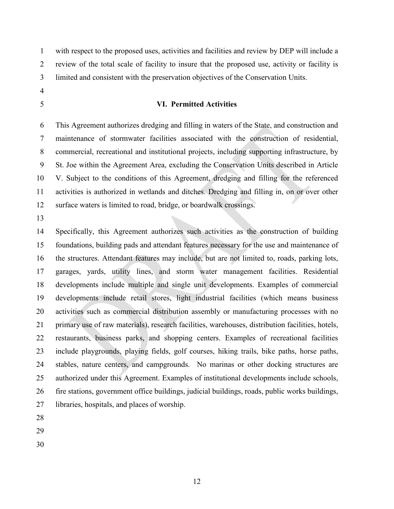with respect to the proposed uses, activities and facilities and review by DEP will include a review of the total scale of facility to insure that the proposed use, activity or facility is limited and consistent with the preservation objectives of the Conservation Units.

- 
- 

## **VI. Permitted Activities**

 This Agreement authorizes dredging and filling in waters of the State, and construction and maintenance of stormwater facilities associated with the construction of residential, commercial, recreational and institutional projects, including supporting infrastructure, by St. Joe within the Agreement Area, excluding the Conservation Units described in Article V. Subject to the conditions of this Agreement, dredging and filling for the referenced activities is authorized in wetlands and ditches. Dredging and filling in, on or over other surface waters is limited to road, bridge, or boardwalk crossings.

 Specifically, this Agreement authorizes such activities as the construction of building foundations, building pads and attendant features necessary for the use and maintenance of the structures. Attendant features may include, but are not limited to, roads, parking lots, garages, yards, utility lines, and storm water management facilities. Residential developments include multiple and single unit developments. Examples of commercial developments include retail stores, light industrial facilities (which means business activities such as commercial distribution assembly or manufacturing processes with no primary use of raw materials), research facilities, warehouses, distribution facilities, hotels, restaurants, business parks, and shopping centers. Examples of recreational facilities include playgrounds, playing fields, golf courses, hiking trails, bike paths, horse paths, stables, nature centers, and campgrounds. No marinas or other docking structures are authorized under this Agreement. Examples of institutional developments include schools, fire stations, government office buildings, judicial buildings, roads, public works buildings, libraries, hospitals, and places of worship.

- 
- 
-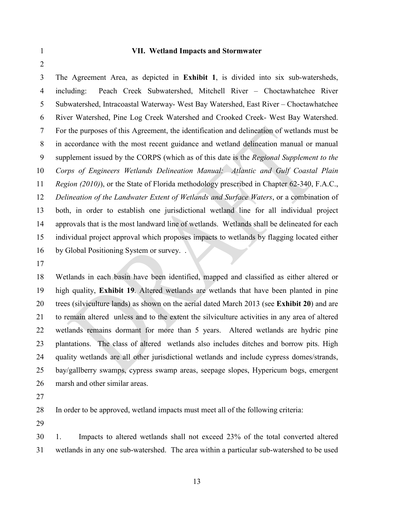#### **VII. Wetland Impacts and Stormwater**

 The Agreement Area, as depicted in **Exhibit 1**, is divided into six sub-watersheds, including: Peach Creek Subwatershed, Mitchell River – Choctawhatchee River Subwatershed, Intracoastal Waterway- West Bay Watershed, East River – Choctawhatchee River Watershed, Pine Log Creek Watershed and Crooked Creek- West Bay Watershed. For the purposes of this Agreement, the identification and delineation of wetlands must be in accordance with the most recent guidance and wetland delineation manual or manual supplement issued by the CORPS (which as of this date is the *Regional Supplement to the Corps of Engineers Wetlands Delineation Manual: Atlantic and Gulf Coastal Plain Region (2010)*), or the State of Florida methodology prescribed in Chapter 62-340, F.A.C., *Delineation of the Landwater Extent of Wetlands and Surface Waters*, or a combination of both, in order to establish one jurisdictional wetland line for all individual project approvals that is the most landward line of wetlands. Wetlands shall be delineated for each individual project approval which proposes impacts to wetlands by flagging located either 16 by Global Positioning System or survey...

 Wetlands in each basin have been identified, mapped and classified as either altered or high quality, **Exhibit 19**. Altered wetlands are wetlands that have been planted in pine trees (silviculture lands) as shown on the aerial dated March 2013 (see **Exhibit 20**) and are to remain altered unless and to the extent the silviculture activities in any area of altered wetlands remains dormant for more than 5 years. Altered wetlands are hydric pine plantations. The class of altered wetlands also includes ditches and borrow pits. High quality wetlands are all other jurisdictional wetlands and include cypress domes/strands, bay/gallberry swamps, cypress swamp areas, seepage slopes, Hypericum bogs, emergent marsh and other similar areas.

In order to be approved, wetland impacts must meet all of the following criteria:

 1. Impacts to altered wetlands shall not exceed 23% of the total converted altered wetlands in any one sub-watershed. The area within a particular sub-watershed to be used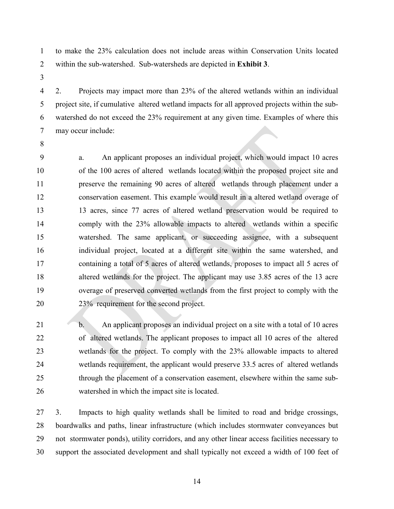to make the 23% calculation does not include areas within Conservation Units located within the sub-watershed. Sub-watersheds are depicted in **Exhibit 3**.

 2. Projects may impact more than 23% of the altered wetlands within an individual project site, if cumulative altered wetland impacts for all approved projects within the sub- watershed do not exceed the 23% requirement at any given time. Examples of where this may occur include:

 a. An applicant proposes an individual project, which would impact 10 acres of the 100 acres of altered wetlands located within the proposed project site and preserve the remaining 90 acres of altered wetlands through placement under a conservation easement. This example would result in a altered wetland overage of 13 acres, since 77 acres of altered wetland preservation would be required to comply with the 23% allowable impacts to altered wetlands within a specific watershed. The same applicant, or succeeding assignee, with a subsequent individual project, located at a different site within the same watershed, and containing a total of 5 acres of altered wetlands, proposes to impact all 5 acres of altered wetlands for the project. The applicant may use 3.85 acres of the 13 acre overage of preserved converted wetlands from the first project to comply with the 23% requirement for the second project.

21 b. An applicant proposes an individual project on a site with a total of 10 acres of altered wetlands. The applicant proposes to impact all 10 acres of the altered wetlands for the project. To comply with the 23% allowable impacts to altered wetlands requirement, the applicant would preserve 33.5 acres of altered wetlands through the placement of a conservation easement, elsewhere within the same sub-watershed in which the impact site is located.

 3. Impacts to high quality wetlands shall be limited to road and bridge crossings, boardwalks and paths, linear infrastructure (which includes stormwater conveyances but not stormwater ponds), utility corridors, and any other linear access facilities necessary to support the associated development and shall typically not exceed a width of 100 feet of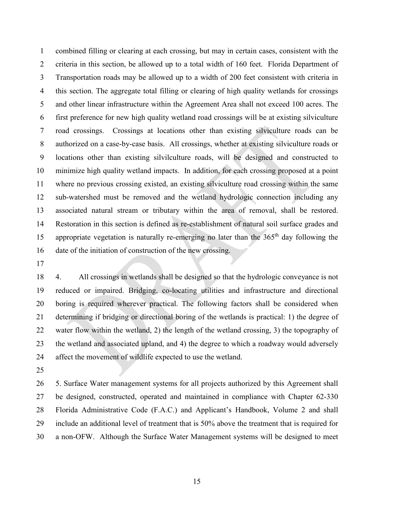combined filling or clearing at each crossing, but may in certain cases, consistent with the criteria in this section, be allowed up to a total width of 160 feet. Florida Department of Transportation roads may be allowed up to a width of 200 feet consistent with criteria in this section. The aggregate total filling or clearing of high quality wetlands for crossings and other linear infrastructure within the Agreement Area shall not exceed 100 acres. The first preference for new high quality wetland road crossings will be at existing silviculture road crossings. Crossings at locations other than existing silviculture roads can be authorized on a case-by-case basis. All crossings, whether at existing silviculture roads or locations other than existing silvilculture roads, will be designed and constructed to minimize high quality wetland impacts. In addition, for each crossing proposed at a point where no previous crossing existed, an existing silviculture road crossing within the same sub-watershed must be removed and the wetland hydrologic connection including any associated natural stream or tributary within the area of removal, shall be restored. Restoration in this section is defined as re-establishment of natural soil surface grades and 15 appropriate vegetation is naturally re-emerging no later than the  $365<sup>th</sup>$  day following the date of the initiation of construction of the new crossing.

 4. All crossings in wetlands shall be designed so that the hydrologic conveyance is not reduced or impaired. Bridging, co-locating utilities and infrastructure and directional boring is required wherever practical. The following factors shall be considered when determining if bridging or directional boring of the wetlands is practical: 1) the degree of water flow within the wetland, 2) the length of the wetland crossing, 3) the topography of the wetland and associated upland, and 4) the degree to which a roadway would adversely affect the movement of wildlife expected to use the wetland.

 5. Surface Water management systems for all projects authorized by this Agreement shall be designed, constructed, operated and maintained in compliance with Chapter 62-330 Florida Administrative Code (F.A.C.) and Applicant's Handbook, Volume 2 and shall include an additional level of treatment that is 50% above the treatment that is required for a non-OFW. Although the Surface Water Management systems will be designed to meet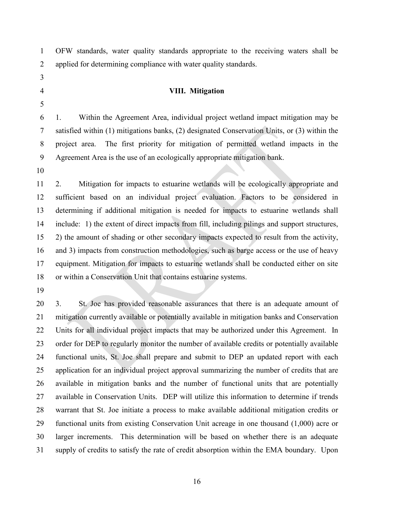OFW standards, water quality standards appropriate to the receiving waters shall be applied for determining compliance with water quality standards.

- 
- 

# **VIII. Mitigation**

 1. Within the Agreement Area, individual project wetland impact mitigation may be satisfied within (1) mitigations banks, (2) designated Conservation Units, or (3) within the project area. The first priority for mitigation of permitted wetland impacts in the Agreement Area is the use of an ecologically appropriate mitigation bank.

 2. Mitigation for impacts to estuarine wetlands will be ecologically appropriate and sufficient based on an individual project evaluation. Factors to be considered in determining if additional mitigation is needed for impacts to estuarine wetlands shall include: 1) the extent of direct impacts from fill, including pilings and support structures, 2) the amount of shading or other secondary impacts expected to result from the activity, and 3) impacts from construction methodologies, such as barge access or the use of heavy equipment. Mitigation for impacts to estuarine wetlands shall be conducted either on site or within a Conservation Unit that contains estuarine systems.

 3. St. Joe has provided reasonable assurances that there is an adequate amount of mitigation currently available or potentially available in mitigation banks and Conservation Units for all individual project impacts that may be authorized under this Agreement. In order for DEP to regularly monitor the number of available credits or potentially available functional units, St. Joe shall prepare and submit to DEP an updated report with each application for an individual project approval summarizing the number of credits that are available in mitigation banks and the number of functional units that are potentially available in Conservation Units. DEP will utilize this information to determine if trends warrant that St. Joe initiate a process to make available additional mitigation credits or functional units from existing Conservation Unit acreage in one thousand (1,000) acre or larger increments. This determination will be based on whether there is an adequate supply of credits to satisfy the rate of credit absorption within the EMA boundary. Upon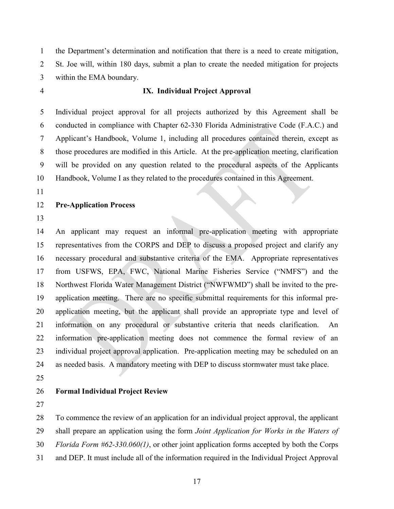the Department's determination and notification that there is a need to create mitigation, St. Joe will, within 180 days, submit a plan to create the needed mitigation for projects within the EMA boundary.

## **IX. Individual Project Approval**

 Individual project approval for all projects authorized by this Agreement shall be conducted in compliance with Chapter 62-330 Florida Administrative Code (F.A.C.) and Applicant's Handbook, Volume 1, including all procedures contained therein, except as those procedures are modified in this Article. At the pre-application meeting, clarification will be provided on any question related to the procedural aspects of the Applicants Handbook, Volume I as they related to the procedures contained in this Agreement.

## **Pre-Application Process**

 An applicant may request an informal pre-application meeting with appropriate representatives from the CORPS and DEP to discuss a proposed project and clarify any necessary procedural and substantive criteria of the EMA. Appropriate representatives from USFWS, EPA, FWC, National Marine Fisheries Service ("NMFS") and the Northwest Florida Water Management District ("NWFWMD") shall be invited to the pre- application meeting. There are no specific submittal requirements for this informal pre- application meeting, but the applicant shall provide an appropriate type and level of information on any procedural or substantive criteria that needs clarification. An information pre-application meeting does not commence the formal review of an individual project approval application. Pre-application meeting may be scheduled on an as needed basis. A mandatory meeting with DEP to discuss stormwater must take place.

## **Formal Individual Project Review**

To commence the review of an application for an individual project approval, the applicant

shall prepare an application using the form *Joint Application for Works in the Waters of* 

*Florida Form #62-330.060(1)*, or other joint application forms accepted by both the Corps

and DEP. It must include all of the information required in the Individual Project Approval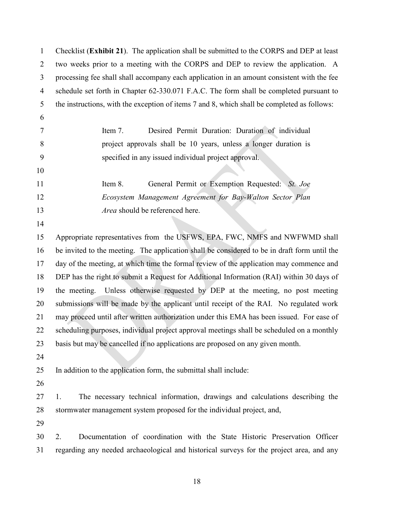| $\mathbf{1}$   | Checklist (Exhibit 21). The application shall be submitted to the CORPS and DEP at least     |  |  |  |  |
|----------------|----------------------------------------------------------------------------------------------|--|--|--|--|
| $\overline{2}$ | two weeks prior to a meeting with the CORPS and DEP to review the application. A             |  |  |  |  |
| 3              | processing fee shall shall accompany each application in an amount consistent with the fee   |  |  |  |  |
| 4              | schedule set forth in Chapter 62-330.071 F.A.C. The form shall be completed pursuant to      |  |  |  |  |
| 5              | the instructions, with the exception of items 7 and 8, which shall be completed as follows:  |  |  |  |  |
| 6              |                                                                                              |  |  |  |  |
| 7              | Desired Permit Duration: Duration of individual<br>Item 7.                                   |  |  |  |  |
| 8              | project approvals shall be 10 years, unless a longer duration is                             |  |  |  |  |
| 9              | specified in any issued individual project approval.                                         |  |  |  |  |
| 10             |                                                                                              |  |  |  |  |
| 11             | General Permit or Exemption Requested: St. Joe<br>Item 8.                                    |  |  |  |  |
| 12             | Ecosystem Management Agreement for Bay-Walton Sector Plan                                    |  |  |  |  |
| 13             | Area should be referenced here.                                                              |  |  |  |  |
| 14             |                                                                                              |  |  |  |  |
| 15             | Appropriate representatives from the USFWS, EPA, FWC, NMFS and NWFWMD shall                  |  |  |  |  |
| 16             | be invited to the meeting. The application shall be considered to be in draft form until the |  |  |  |  |
| 17             | day of the meeting, at which time the formal review of the application may commence and      |  |  |  |  |
| 18             | DEP has the right to submit a Request for Additional Information (RAI) within 30 days of     |  |  |  |  |
| 19             | Unless otherwise requested by DEP at the meeting, no post meeting<br>the meeting.            |  |  |  |  |
| 20             | submissions will be made by the applicant until receipt of the RAI. No regulated work        |  |  |  |  |
| 21             | may proceed until after written authorization under this EMA has been issued. For ease of    |  |  |  |  |
| 22             | scheduling purposes, individual project approval meetings shall be scheduled on a monthly    |  |  |  |  |
| 23             | basis but may be cancelled if no applications are proposed on any given month.               |  |  |  |  |
| 24             |                                                                                              |  |  |  |  |
| 25             | In addition to the application form, the submittal shall include:                            |  |  |  |  |
| 26             |                                                                                              |  |  |  |  |
| 27             | The necessary technical information, drawings and calculations describing the<br>1.          |  |  |  |  |
| 28             | stormwater management system proposed for the individual project, and,                       |  |  |  |  |
| 29             |                                                                                              |  |  |  |  |
| 30             | Documentation of coordination with the State Historic Preservation Officer<br>2.             |  |  |  |  |
| 31             | regarding any needed archaeological and historical surveys for the project area, and any     |  |  |  |  |
|                |                                                                                              |  |  |  |  |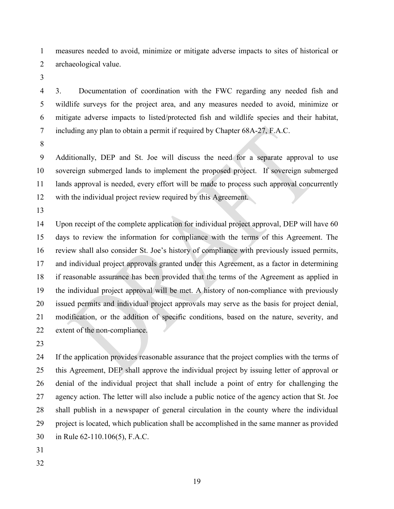measures needed to avoid, minimize or mitigate adverse impacts to sites of historical or archaeological value.

 3. Documentation of coordination with the FWC regarding any needed fish and wildlife surveys for the project area, and any measures needed to avoid, minimize or mitigate adverse impacts to listed/protected fish and wildlife species and their habitat, including any plan to obtain a permit if required by Chapter 68A-27, F.A.C.

 Additionally, DEP and St. Joe will discuss the need for a separate approval to use sovereign submerged lands to implement the proposed project. If sovereign submerged lands approval is needed, every effort will be made to process such approval concurrently with the individual project review required by this Agreement.

 Upon receipt of the complete application for individual project approval, DEP will have 60 days to review the information for compliance with the terms of this Agreement. The review shall also consider St. Joe's history of compliance with previously issued permits, and individual project approvals granted under this Agreement, as a factor in determining if reasonable assurance has been provided that the terms of the Agreement as applied in the individual project approval will be met. A history of non-compliance with previously issued permits and individual project approvals may serve as the basis for project denial, modification, or the addition of specific conditions, based on the nature, severity, and extent of the non-compliance.

 If the application provides reasonable assurance that the project complies with the terms of this Agreement, DEP shall approve the individual project by issuing letter of approval or denial of the individual project that shall include a point of entry for challenging the agency action. The letter will also include a public notice of the agency action that St. Joe shall publish in a newspaper of general circulation in the county where the individual project is located, which publication shall be accomplished in the same manner as provided in Rule 62-110.106(5), F.A.C.

- 
-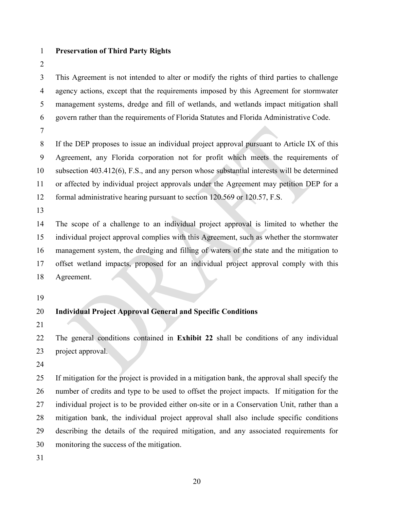## **Preservation of Third Party Rights**

 This Agreement is not intended to alter or modify the rights of third parties to challenge agency actions, except that the requirements imposed by this Agreement for stormwater management systems, dredge and fill of wetlands, and wetlands impact mitigation shall govern rather than the requirements of Florida Statutes and Florida Administrative Code.

 If the DEP proposes to issue an individual project approval pursuant to Article IX of this Agreement, any Florida corporation not for profit which meets the requirements of subsection 403.412(6), F.S., and any person whose substantial interests will be determined or affected by individual project approvals under the Agreement may petition DEP for a formal administrative hearing pursuant to section 120.569 or 120.57, F.S.

 The scope of a challenge to an individual project approval is limited to whether the individual project approval complies with this Agreement, such as whether the stormwater management system, the dredging and filling of waters of the state and the mitigation to offset wetland impacts, proposed for an individual project approval comply with this Agreement.

# **Individual Project Approval General and Specific Conditions**

 The general conditions contained in **Exhibit 22** shall be conditions of any individual project approval.

 If mitigation for the project is provided in a mitigation bank, the approval shall specify the number of credits and type to be used to offset the project impacts. If mitigation for the individual project is to be provided either on-site or in a Conservation Unit, rather than a mitigation bank, the individual project approval shall also include specific conditions describing the details of the required mitigation, and any associated requirements for monitoring the success of the mitigation.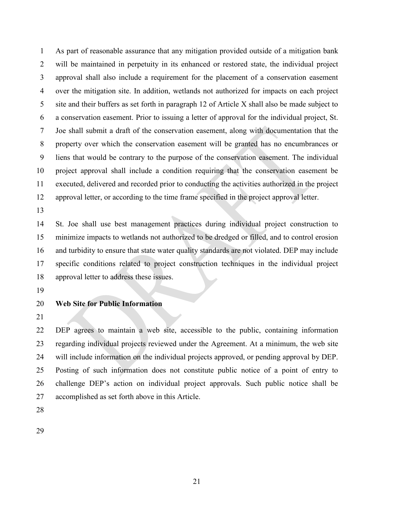As part of reasonable assurance that any mitigation provided outside of a mitigation bank will be maintained in perpetuity in its enhanced or restored state, the individual project approval shall also include a requirement for the placement of a conservation easement over the mitigation site. In addition, wetlands not authorized for impacts on each project site and their buffers as set forth in paragraph 12 of Article X shall also be made subject to a conservation easement. Prior to issuing a letter of approval for the individual project, St. Joe shall submit a draft of the conservation easement, along with documentation that the property over which the conservation easement will be granted has no encumbrances or liens that would be contrary to the purpose of the conservation easement. The individual project approval shall include a condition requiring that the conservation easement be executed, delivered and recorded prior to conducting the activities authorized in the project approval letter, or according to the time frame specified in the project approval letter.

 St. Joe shall use best management practices during individual project construction to minimize impacts to wetlands not authorized to be dredged or filled, and to control erosion and turbidity to ensure that state water quality standards are not violated. DEP may include specific conditions related to project construction techniques in the individual project approval letter to address these issues.

## **Web Site for Public Information**

 DEP agrees to maintain a web site, accessible to the public, containing information regarding individual projects reviewed under the Agreement. At a minimum, the web site will include information on the individual projects approved, or pending approval by DEP. Posting of such information does not constitute public notice of a point of entry to challenge DEP's action on individual project approvals. Such public notice shall be accomplished as set forth above in this Article.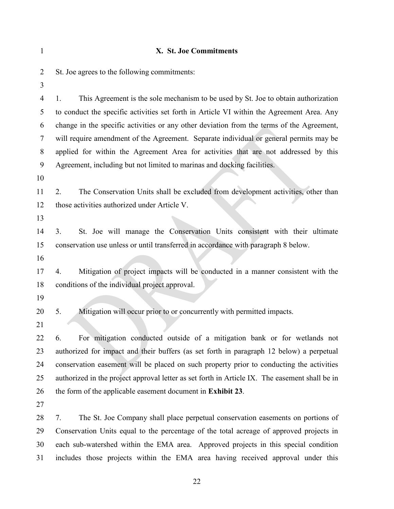| 1              | X. St. Joe Commitments                                                                         |  |  |
|----------------|------------------------------------------------------------------------------------------------|--|--|
| $\overline{2}$ | St. Joe agrees to the following commitments:                                                   |  |  |
| 3              |                                                                                                |  |  |
| 4              | This Agreement is the sole mechanism to be used by St. Joe to obtain authorization<br>1.       |  |  |
| 5              | to conduct the specific activities set forth in Article VI within the Agreement Area. Any      |  |  |
| 6              | change in the specific activities or any other deviation from the terms of the Agreement,      |  |  |
| $\tau$         | will require amendment of the Agreement. Separate individual or general permits may be         |  |  |
| 8              | applied for within the Agreement Area for activities that are not addressed by this            |  |  |
| 9              | Agreement, including but not limited to marinas and docking facilities.                        |  |  |
| 10             |                                                                                                |  |  |
| 11             | The Conservation Units shall be excluded from development activities, other than<br>2.         |  |  |
| 12             | those activities authorized under Article V.                                                   |  |  |
| 13             |                                                                                                |  |  |
| 14             | St. Joe will manage the Conservation Units consistent with their ultimate<br>3.                |  |  |
| 15             | conservation use unless or until transferred in accordance with paragraph 8 below.             |  |  |
| 16             |                                                                                                |  |  |
| 17             | Mitigation of project impacts will be conducted in a manner consistent with the<br>4.          |  |  |
| 18             | conditions of the individual project approval.                                                 |  |  |
| 19             |                                                                                                |  |  |
| 20             | 5.<br>Mitigation will occur prior to or concurrently with permitted impacts.                   |  |  |
| 21             |                                                                                                |  |  |
| 22             | For mitigation conducted outside of a mitigation bank or for wetlands not<br>6.                |  |  |
| 23             | authorized for impact and their buffers (as set forth in paragraph 12 below) a perpetual       |  |  |
| 24             | conservation easement will be placed on such property prior to conducting the activities       |  |  |
| 25             | authorized in the project approval letter as set forth in Article IX. The easement shall be in |  |  |
| 26             | the form of the applicable easement document in Exhibit 23.                                    |  |  |
| 27             |                                                                                                |  |  |
| 28             | The St. Joe Company shall place perpetual conservation easements on portions of<br>7.          |  |  |
| 29             | Conservation Units equal to the percentage of the total acreage of approved projects in        |  |  |
| 30             | each sub-watershed within the EMA area. Approved projects in this special condition            |  |  |
| 31             | includes those projects within the EMA area having received approval under this                |  |  |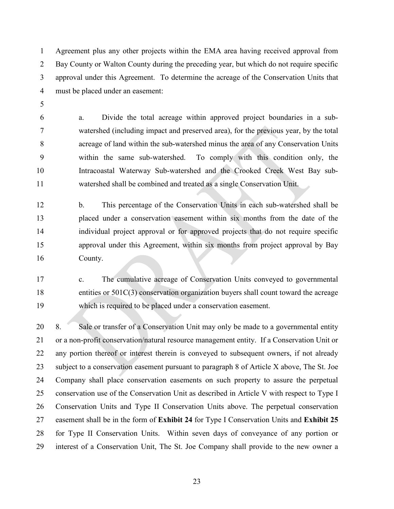Agreement plus any other projects within the EMA area having received approval from Bay County or Walton County during the preceding year, but which do not require specific approval under this Agreement. To determine the acreage of the Conservation Units that must be placed under an easement:

 a. Divide the total acreage within approved project boundaries in a sub- watershed (including impact and preserved area), for the previous year, by the total acreage of land within the sub-watershed minus the area of any Conservation Units within the same sub-watershed. To comply with this condition only, the Intracoastal Waterway Sub-watershed and the Crooked Creek West Bay sub-watershed shall be combined and treated as a single Conservation Unit.

 b. This percentage of the Conservation Units in each sub-watershed shall be placed under a conservation easement within six months from the date of the individual project approval or for approved projects that do not require specific approval under this Agreement, within six months from project approval by Bay County.

 c. The cumulative acreage of Conservation Units conveyed to governmental entities or 501C(3) conservation organization buyers shall count toward the acreage which is required to be placed under a conservation easement.

 8. Sale or transfer of a Conservation Unit may only be made to a governmental entity or a non-profit conservation/natural resource management entity. If a Conservation Unit or any portion thereof or interest therein is conveyed to subsequent owners, if not already 23 subject to a conservation easement pursuant to paragraph 8 of Article X above, The St. Joe Company shall place conservation easements on such property to assure the perpetual conservation use of the Conservation Unit as described in Article V with respect to Type I Conservation Units and Type II Conservation Units above. The perpetual conservation easement shall be in the form of **Exhibit 24** for Type I Conservation Units and **Exhibit 25** for Type II Conservation Units. Within seven days of conveyance of any portion or interest of a Conservation Unit, The St. Joe Company shall provide to the new owner a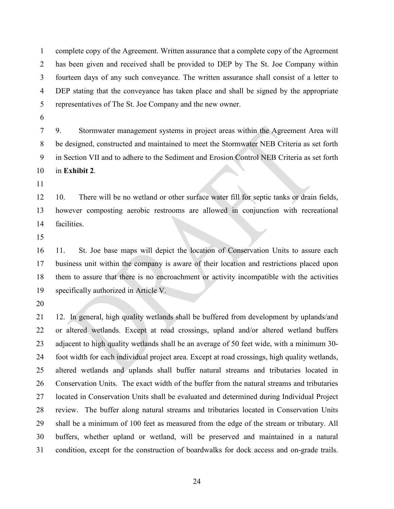complete copy of the Agreement. Written assurance that a complete copy of the Agreement has been given and received shall be provided to DEP by The St. Joe Company within fourteen days of any such conveyance. The written assurance shall consist of a letter to DEP stating that the conveyance has taken place and shall be signed by the appropriate representatives of The St. Joe Company and the new owner.

 9. Stormwater management systems in project areas within the Agreement Area will be designed, constructed and maintained to meet the Stormwater NEB Criteria as set forth in Section VII and to adhere to the Sediment and Erosion Control NEB Criteria as set forth in **Exhibit 2**.

 10. There will be no wetland or other surface water fill for septic tanks or drain fields, however composting aerobic restrooms are allowed in conjunction with recreational facilities.

 11. St. Joe base maps will depict the location of Conservation Units to assure each business unit within the company is aware of their location and restrictions placed upon them to assure that there is no encroachment or activity incompatible with the activities specifically authorized in Article V.

 12. In general, high quality wetlands shall be buffered from development by uplands/and or altered wetlands*.* Except at road crossings, upland and/or altered wetland buffers adjacent to high quality wetlands shall be an average of 50 feet wide, with a minimum 30- foot width for each individual project area. Except at road crossings, high quality wetlands, altered wetlands and uplands shall buffer natural streams and tributaries located in Conservation Units. The exact width of the buffer from the natural streams and tributaries located in Conservation Units shall be evaluated and determined during Individual Project review. The buffer along natural streams and tributaries located in Conservation Units shall be a minimum of 100 feet as measured from the edge of the stream or tributary. All buffers, whether upland or wetland, will be preserved and maintained in a natural condition, except for the construction of boardwalks for dock access and on-grade trails.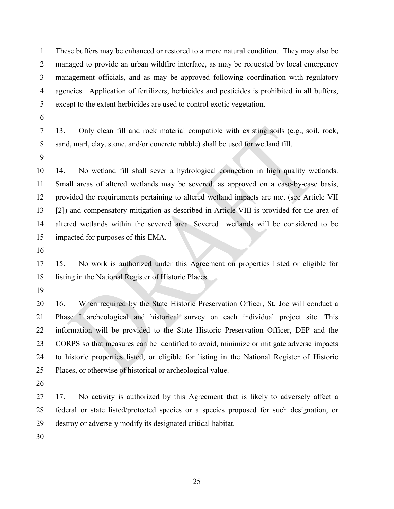These buffers may be enhanced or restored to a more natural condition. They may also be managed to provide an urban wildfire interface, as may be requested by local emergency management officials, and as may be approved following coordination with regulatory agencies. Application of fertilizers, herbicides and pesticides is prohibited in all buffers, except to the extent herbicides are used to control exotic vegetation.

- 
- 13. Only clean fill and rock material compatible with existing soils (e.g., soil, rock, sand, marl, clay, stone, and/or concrete rubble) shall be used for wetland fill.
- 

 14. No wetland fill shall sever a hydrological connection in high quality wetlands. Small areas of altered wetlands may be severed, as approved on a case-by-case basis, provided the requirements pertaining to altered wetland impacts are met (see Article VII [2]) and compensatory mitigation as described in Article VIII is provided for the area of altered wetlands within the severed area. Severed wetlands will be considered to be impacted for purposes of this EMA.

 15. No work is authorized under this Agreement on properties listed or eligible for listing in the National Register of Historic Places.

 16. When required by the State Historic Preservation Officer, St. Joe will conduct a Phase I archeological and historical survey on each individual project site. This information will be provided to the State Historic Preservation Officer, DEP and the CORPS so that measures can be identified to avoid, minimize or mitigate adverse impacts to historic properties listed, or eligible for listing in the National Register of Historic Places, or otherwise of historical or archeological value.

 17. No activity is authorized by this Agreement that is likely to adversely affect a federal or state listed/protected species or a species proposed for such designation, or destroy or adversely modify its designated critical habitat.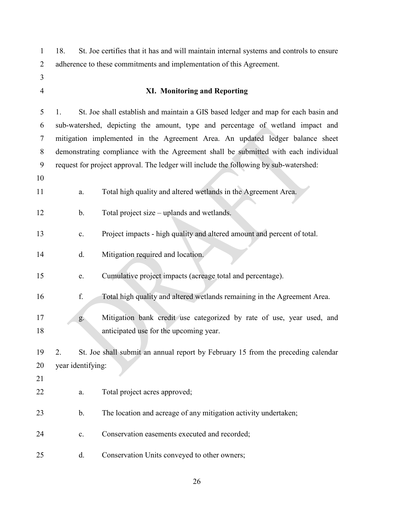18. St. Joe certifies that it has and will maintain internal systems and controls to ensure adherence to these commitments and implementation of this Agreement.

- 
- 

## **XI. Monitoring and Reporting**

 1. St. Joe shall establish and maintain a GIS based ledger and map for each basin and sub-watershed, depicting the amount, type and percentage of wetland impact and mitigation implemented in the Agreement Area. An updated ledger balance sheet demonstrating compliance with the Agreement shall be submitted with each individual request for project approval. The ledger will include the following by sub-watershed:

- 
- a. Total high quality and altered wetlands in the Agreement Area.

b. Total project size – uplands and wetlands.

- c. Project impacts high quality and altered amount and percent of total.
- d. Mitigation required and location.
- e. Cumulative project impacts (acreage total and percentage).
- f. Total high quality and altered wetlands remaining in the Agreement Area.
- g. Mitigation bank credit use categorized by rate of use, year used, and anticipated use for the upcoming year.

 2. St. Joe shall submit an annual report by February 15 from the preceding calendar year identifying:

- 
- a. Total project acres approved;
- 23 b. The location and acreage of any mitigation activity undertaken;
- c. Conservation easements executed and recorded;
- d. Conservation Units conveyed to other owners;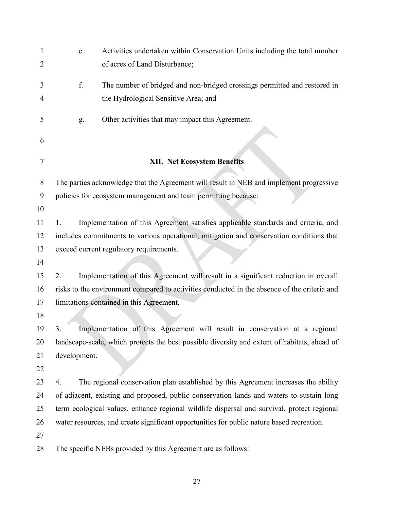| 1      | e.                                                                                       | Activities undertaken within Conservation Units including the total number                   |  |
|--------|------------------------------------------------------------------------------------------|----------------------------------------------------------------------------------------------|--|
| 2      |                                                                                          | of acres of Land Disturbance;                                                                |  |
| 3      | f.                                                                                       | The number of bridged and non-bridged crossings permitted and restored in                    |  |
| 4      |                                                                                          | the Hydrological Sensitive Area; and                                                         |  |
| 5      | g.                                                                                       | Other activities that may impact this Agreement.                                             |  |
| 6      |                                                                                          |                                                                                              |  |
| $\tau$ |                                                                                          | <b>XII. Net Ecosystem Benefits</b>                                                           |  |
| 8      |                                                                                          | The parties acknowledge that the Agreement will result in NEB and implement progressive      |  |
| 9      | policies for ecosystem management and team permitting because:                           |                                                                                              |  |
| 10     |                                                                                          |                                                                                              |  |
| 11     | 1.                                                                                       | Implementation of this Agreement satisfies applicable standards and criteria, and            |  |
| 12     | includes commitments to various operational, mitigation and conservation conditions that |                                                                                              |  |
| 13     |                                                                                          | exceed current regulatory requirements.                                                      |  |
| 14     |                                                                                          |                                                                                              |  |
| 15     | 2.                                                                                       | Implementation of this Agreement will result in a significant reduction in overall           |  |
| 16     |                                                                                          | risks to the environment compared to activities conducted in the absence of the criteria and |  |
| 17     |                                                                                          | limitations contained in this Agreement.                                                     |  |
| 18     |                                                                                          |                                                                                              |  |
| 19     | 3.                                                                                       | Implementation of this Agreement will result in conservation at a regional                   |  |
| 20     |                                                                                          | landscape-scale, which protects the best possible diversity and extent of habitats, ahead of |  |
| 21     | development.                                                                             |                                                                                              |  |
| 22     |                                                                                          |                                                                                              |  |
| 23     | 4.                                                                                       | The regional conservation plan established by this Agreement increases the ability           |  |
| 24     |                                                                                          | of adjacent, existing and proposed, public conservation lands and waters to sustain long     |  |
| 25     |                                                                                          | term ecological values, enhance regional wildlife dispersal and survival, protect regional   |  |
| 26     |                                                                                          | water resources, and create significant opportunities for public nature based recreation.    |  |
| 27     |                                                                                          |                                                                                              |  |
| 28     |                                                                                          | The specific NEBs provided by this Agreement are as follows:                                 |  |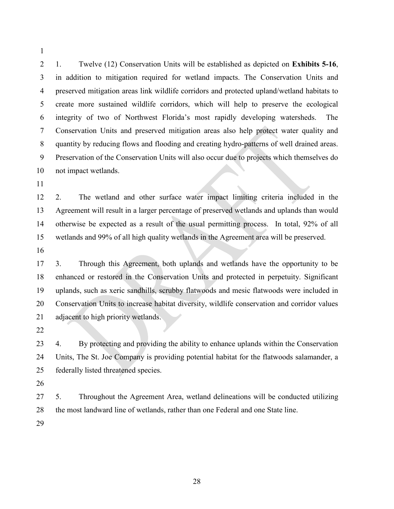1. Twelve (12) Conservation Units will be established as depicted on **Exhibits 5-16**, in addition to mitigation required for wetland impacts. The Conservation Units and preserved mitigation areas link wildlife corridors and protected upland/wetland habitats to create more sustained wildlife corridors, which will help to preserve the ecological integrity of two of Northwest Florida's most rapidly developing watersheds. The Conservation Units and preserved mitigation areas also help protect water quality and quantity by reducing flows and flooding and creating hydro-patterns of well drained areas. Preservation of the Conservation Units will also occur due to projects which themselves do not impact wetlands.

 2. The wetland and other surface water impact limiting criteria included in the Agreement will result in a larger percentage of preserved wetlands and uplands than would otherwise be expected as a result of the usual permitting process. In total, 92% of all wetlands and 99% of all high quality wetlands in the Agreement area will be preserved.

 3. Through this Agreement, both uplands and wetlands have the opportunity to be enhanced or restored in the Conservation Units and protected in perpetuity. Significant uplands, such as xeric sandhills, scrubby flatwoods and mesic flatwoods were included in Conservation Units to increase habitat diversity, wildlife conservation and corridor values adjacent to high priority wetlands.

 4. By protecting and providing the ability to enhance uplands within the Conservation Units, The St. Joe Company is providing potential habitat for the flatwoods salamander, a federally listed threatened species.

 5. Throughout the Agreement Area, wetland delineations will be conducted utilizing the most landward line of wetlands, rather than one Federal and one State line.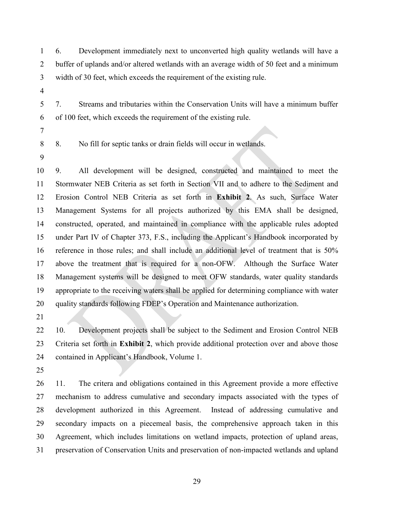6. Development immediately next to unconverted high quality wetlands will have a buffer of uplands and/or altered wetlands with an average width of 50 feet and a minimum width of 30 feet, which exceeds the requirement of the existing rule.

 7. Streams and tributaries within the Conservation Units will have a minimum buffer of 100 feet, which exceeds the requirement of the existing rule.

- 
- 

8. No fill for septic tanks or drain fields will occur in wetlands.

 9. All development will be designed, constructed and maintained to meet the Stormwater NEB Criteria as set forth in Section VII and to adhere to the Sediment and Erosion Control NEB Criteria as set forth in **Exhibit 2**. As such, Surface Water Management Systems for all projects authorized by this EMA shall be designed, constructed, operated, and maintained in compliance with the applicable rules adopted under Part IV of Chapter 373, F.S., including the Applicant's Handbook incorporated by reference in those rules; and shall include an additional level of treatment that is 50% above the treatment that is required for a non-OFW. Although the Surface Water Management systems will be designed to meet OFW standards, water quality standards appropriate to the receiving waters shall be applied for determining compliance with water quality standards following FDEP's Operation and Maintenance authorization.

 10. Development projects shall be subject to the Sediment and Erosion Control NEB Criteria set forth in **Exhibit 2**, which provide additional protection over and above those contained in Applicant's Handbook, Volume 1.

 11. The critera and obligations contained in this Agreement provide a more effective mechanism to address cumulative and secondary impacts associated with the types of development authorized in this Agreement. Instead of addressing cumulative and secondary impacts on a piecemeal basis, the comprehensive approach taken in this Agreement, which includes limitations on wetland impacts, protection of upland areas, preservation of Conservation Units and preservation of non-impacted wetlands and upland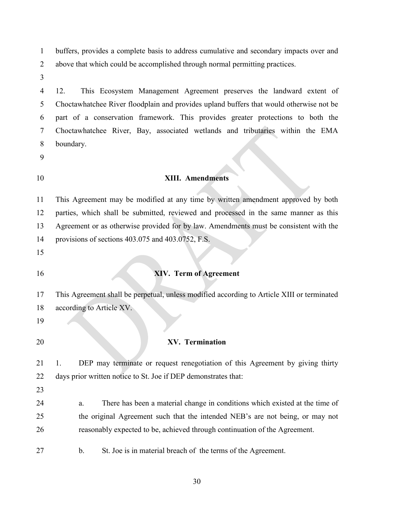buffers, provides a complete basis to address cumulative and secondary impacts over and above that which could be accomplished through normal permitting practices.

 12. This Ecosystem Management Agreement preserves the landward extent of Choctawhatchee River floodplain and provides upland buffers that would otherwise not be part of a conservation framework. This provides greater protections to both the Choctawhatchee River, Bay, associated wetlands and tributaries within the EMA boundary.

## **XIII. Amendments**

 This Agreement may be modified at any time by written amendment approved by both parties, which shall be submitted, reviewed and processed in the same manner as this Agreement or as otherwise provided for by law. Amendments must be consistent with the provisions of sections 403.075 and 403.0752, F.S.

# **XIV. Term of Agreement**

 This Agreement shall be perpetual, unless modified according to Article XIII or terminated according to Article XV. **XV. Termination**

 1. DEP may terminate or request renegotiation of this Agreement by giving thirty days prior written notice to St. Joe if DEP demonstrates that:

- 
- a. There has been a material change in conditions which existed at the time of the original Agreement such that the intended NEB's are not being, or may not reasonably expected to be, achieved through continuation of the Agreement.
- b. St. Joe is in material breach of the terms of the Agreement.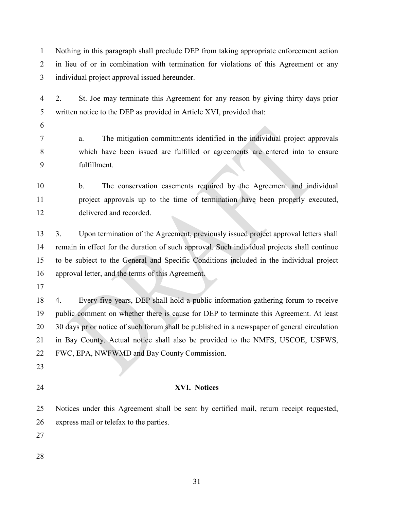Nothing in this paragraph shall preclude DEP from taking appropriate enforcement action in lieu of or in combination with termination for violations of this Agreement or any individual project approval issued hereunder.

 2. St. Joe may terminate this Agreement for any reason by giving thirty days prior written notice to the DEP as provided in Article XVI, provided that:

 a. The mitigation commitments identified in the individual project approvals which have been issued are fulfilled or agreements are entered into to ensure fulfillment.

 b. The conservation easements required by the Agreement and individual project approvals up to the time of termination have been properly executed, delivered and recorded.

 3. Upon termination of the Agreement, previously issued project approval letters shall remain in effect for the duration of such approval. Such individual projects shall continue to be subject to the General and Specific Conditions included in the individual project approval letter, and the terms of this Agreement.

 4. Every five years, DEP shall hold a public information-gathering forum to receive public comment on whether there is cause for DEP to terminate this Agreement. At least 30 days prior notice of such forum shall be published in a newspaper of general circulation in Bay County. Actual notice shall also be provided to the NMFS, USCOE, USFWS, FWC, EPA, NWFWMD and Bay County Commission.

- 
- 

## **XVI. Notices**

 Notices under this Agreement shall be sent by certified mail, return receipt requested, express mail or telefax to the parties.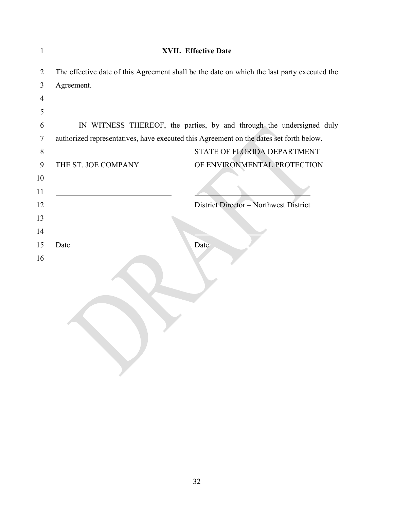| $\mathbf{1}$   |                                                                                        | <b>XVII. Effective Date</b>                                                                 |
|----------------|----------------------------------------------------------------------------------------|---------------------------------------------------------------------------------------------|
| $\overline{2}$ |                                                                                        | The effective date of this Agreement shall be the date on which the last party executed the |
| 3              | Agreement.                                                                             |                                                                                             |
| 4              |                                                                                        |                                                                                             |
| 5              |                                                                                        |                                                                                             |
| 6              |                                                                                        | IN WITNESS THEREOF, the parties, by and through the undersigned duly                        |
| 7              | authorized representatives, have executed this Agreement on the dates set forth below. |                                                                                             |
| 8              |                                                                                        | STATE OF FLORIDA DEPARTMENT                                                                 |
| 9              | THE ST. JOE COMPANY                                                                    | OF ENVIRONMENTAL PROTECTION                                                                 |
| 10             |                                                                                        |                                                                                             |
| 11             |                                                                                        |                                                                                             |
| 12             |                                                                                        | District Director - Northwest District                                                      |
| 13             |                                                                                        |                                                                                             |
| 14             |                                                                                        |                                                                                             |
| 15             | Date                                                                                   | Date                                                                                        |
| 16             |                                                                                        |                                                                                             |
|                |                                                                                        |                                                                                             |
|                |                                                                                        |                                                                                             |
|                |                                                                                        |                                                                                             |
|                |                                                                                        |                                                                                             |
|                |                                                                                        |                                                                                             |
|                |                                                                                        |                                                                                             |
|                |                                                                                        |                                                                                             |
|                |                                                                                        |                                                                                             |
|                |                                                                                        |                                                                                             |